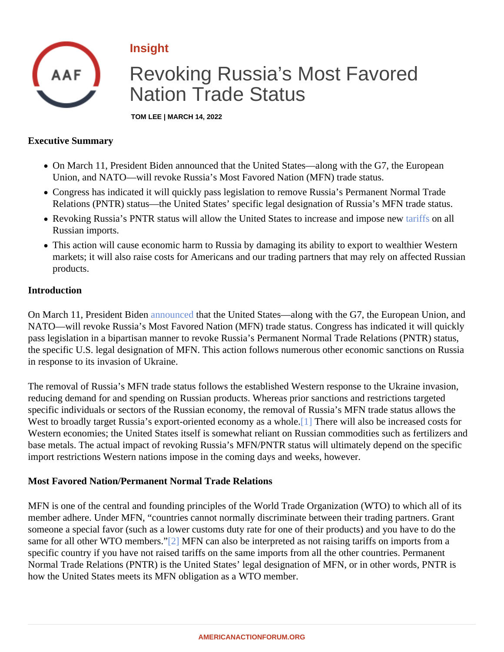# <span id="page-0-0"></span>Insight

# Revoking Russia's Most Favored Nation Trade Status

TOM LEE | MARCH 14, 2022

#### Executive Summary

- On March 11, President Biden announced that the United States—along with the G7, the European Union, and NATO—will revoke Russia's Most Favored Nation (MFN) trade status.
- Congress has indicated it will quickly pass legislation to remove Russia's Permanent Normal Trade Relations (PNTR) status—the United States' specific legal designation of Russia's MFN trade status.
- Revoking Russia's PNTR status will allow the United States to increase and impose inew all Russian imports.
- This action will cause economic harm to Russia by damaging its ability to export to wealthier Western markets; it will also raise costs for Americans and our trading partners that may rely on affected Russian products.

## Introduction

On March 11, President Bidemnounced hat the United States—along with the G7, the European Union, and NATO—will revoke Russia's Most Favored Nation (MFN) trade status. Congress has indicated it will quickly pass legislation in a bipartisan manner to revoke Russia's Permanent Normal Trade Relations (PNTR) status the specific U.S. legal designation of MFN. This action follows numerous other economic sanctions on Russia in response to its invasion of Ukraine.

The removal of Russia's MFN trade status follows the established Western response to the Ukraine invasion, reducing demand for and spending on Russian products. Whereas prior sanctions and restrictions targeted specific individuals or sectors of the Russian economy, the removal of Russia's MFN trade status allows the West to broadly target Russia's export-oriented economy as a Wholl bere will also be increased costs for Western economies; the United States itself is somewhat reliant on Russian commodities such as fertilizers and base metals. The actual impact of revoking Russia's MFN/PNTR status will ultimately depend on the specific import restrictions Western nations impose in the coming days and weeks, however.

## Most Favored Nation/Permanent Normal Trade Relations

MFN is one of the central and founding principles of the World Trade Organization (WTO) to which all of its member adhere. Under MFN, "countries cannot normally discriminate between their trading partners. Grant someone a special favor (such as a lower customs duty rate for one of their products) and you have to do the same for all other WTO member<sup>o</sup>." MFN can also be interpreted as not raising tariffs on imports from a specific country if you have not raised tariffs on the same imports from all the other countries. Permanent Normal Trade Relations (PNTR) is the United States' legal designation of MFN, or in other words, PNTR is how the United States meets its MFN obligation as a WTO member.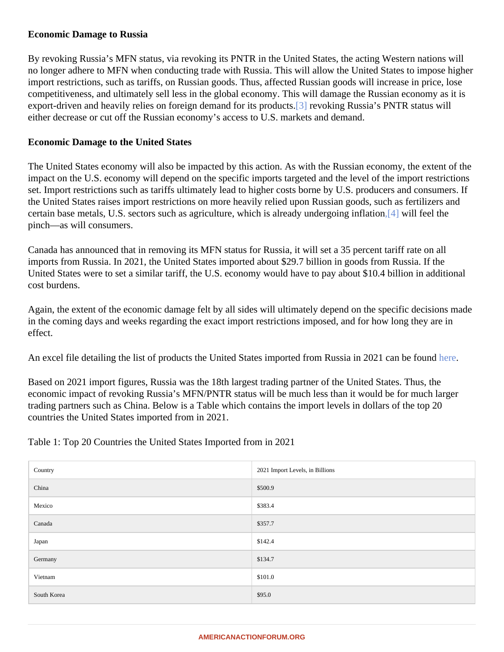#### <span id="page-1-0"></span>Economic Damage to Russia

By revoking Russia's MFN status, via revoking its PNTR in the United States, the acting Western nations will no longer adhere to MFN when conducting trade with Russia. This will allow the United States to impose high import restrictions, such as tariffs, on Russian goods. Thus, affected Russian goods will increase in price, lose competitiveness, and ultimately sell less in the global economy. This will damage the Russian economy as it is export-driven and heavily relies on foreign demand for its pro[duc](#page-2-0)ts voking Russia's PNTR status will either decrease or cut off the Russian economy's access to U.S. markets and demand.

#### Economic Damage to the United States

The United States economy will also be impacted by this action. As with the Russian economy, the extent of the impact on the U.S. economy will depend on the specific imports targeted and the level of the import restriction set. Import restrictions such as tariffs ultimately lead to higher costs borne by U.S. producers and consumers. the United States raises import restrictions on more heavily relied upon Russian goods, such as fertilizers and certain base metals, U.S. sectors such as a[g](�� h t t p s : / / w w w . a m e r i c a n a c t i o n f o r u m . o r g / m u l t i m e d i a / t h e - a a f - e x c h a n g e - e p - 9 7 - i n f l a t i o n - w a r - a n d - c o v i d - 1 9 /)riculture, which is already undergoing in flatilofeel the pinch—as will consumers.

Canada has announced that in removing its MFN status for Russia, it will set a 35 percent tariff rate on all imports from Russia. In 2021, the United States imported about \$29.7 billion in goods from Russia. If the United States were to set a similar tariff, the U.S. economy would have to pay about \$10.4 billion in additional cost burdens.

Again, the extent of the economic damage felt by all sides will ultimately depend on the specific decisions ma in the coming days and weeks regarding the exact import restrictions imposed, and for how long they are in effect.

An excel file detailing the list of products the United States imported from Russia in 2021 can [be fo](�� h t t p s : / / w w w . a m e r i c a n a c t i o n f o r u m . o r g / w p - c o n t e n t / u p l o a d s / 2 0 2 2 / 0 3 / I m p o r t s - F r o m - R u s s i a - H S - 2 - a n d - 4 . x l s x)und

Based on 2021 import figures, Russia was the 18th largest trading partner of the United States. Thus, the economic impact of revoking Russia's MFN/PNTR status will be much less than it would be for much larger trading partners such as China. Below is a Table which contains the import levels in dollars of the top 20 countries the United States imported from in 2021.

Table 1: Top 20 Countries the United States Imported from in 2021

| Country     | 2021 Import Levels, in Billions |
|-------------|---------------------------------|
| China       | \$500.9                         |
| Mexico      | \$383.4                         |
| Canada      | \$357.7                         |
| Japan       | \$142.4                         |
| Germany     | \$134.7                         |
| Vietnam     | \$101.0                         |
| South Korea | \$95.0                          |